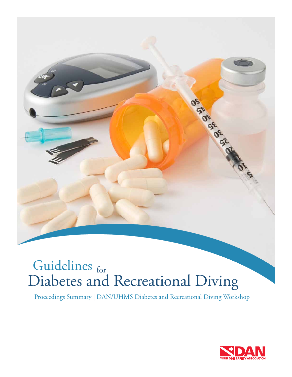# Guidelines for Diabetes and Recreational Diving

Proceedings Summary | DAN/UHMS Diabetes and Recreational Diving Workshop



OS SIGE OF OR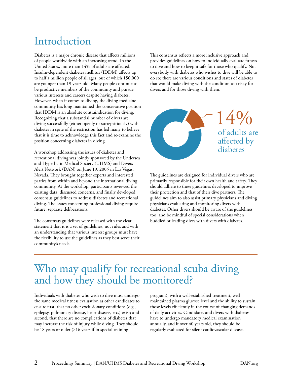### Introduction

Diabetes is a major chronic disease that affects millions of people worldwide with an increasing trend. In the United States, more than 14% of adults are affected. Insulin-dependent diabetes mellitus (IDDM) affects up to half a million people of all ages, out of which 150,000 are younger than 19 years old. Many people continue to be productive members of the community and pursue various interests and careers despite having diabetes. However, when it comes to diving, the diving medicine community has long maintained the conservative position that IDDM is an absolute contraindication for diving. Recognizing that a substantial number of divers are diving successfully (either openly or surreptitiously) with diabetes in spite of the restriction has led many to believe that it is time to acknowledge this fact and re-examine the position concerning diabetes in diving.

A workshop addressing the issues of diabetes and recreational diving was jointly sponsored by the Undersea and Hyperbaric Medical Society (UHMS) and Divers Alert Network (DAN) on June 19, 2005 in Las Vegas, Nevada. They brought together experts and interested parties from within and beyond the international diving community. At the workshop, participants reviewed the existing data, discussed concerns, and finally developed consensus guidelines to address diabetes and recreational diving. The issues concerning professional diving require future, separate deliberations.

The consensus guidelines were released with the clear statement that it is a set of guidelines, not rules and with an understanding that various interest groups must have the flexibility to use the guidelines as they best serve their community's needs.

This consensus reflects a more inclusive approach and provides guidelines on how to individually evaluate fitness to dive and how to keep it safe for those who qualify. Not everybody with diabetes who wishes to dive will be able to do so; there are various conditions and states of diabetes that would make diving with the condition too risky for divers and for those diving with them.



The guidelines are designed for individual divers who are primarily responsible for their own health and safety. They should adhere to these guidelines developed to improve their protection and that of their dive partners. The guidelines aim to also assist primary physicians and diving physicians evaluating and monitoring divers with diabetes. Other divers should be aware of the guidelines too, and be mindful of special considerations when buddied or leading dives with divers with diabetes.

#### Who may qualify for recreational scuba diving and how they should be monitored?

Individuals with diabetes who wish to dive must undergo the same medical fitness evaluation as other candidates to ensure first, that no other exclusionary conditions (e.g., epilepsy, pulmonary disease, heart disease, etc.) exist; and second, that there are no complications of diabetes that may increase the risk of injury while diving. They should be 18 years or older  $(≥16$  years if in special training

program), with a well-established treatment, well maintained plasma glucose level and the ability to sustain those levels efficiently in the course of changing demands of daily activities. Candidates and divers with diabetes have to undergo mandatory medical examination annually, and if over 40 years old, they should be regularly evaluated for silent cardiovascular disease.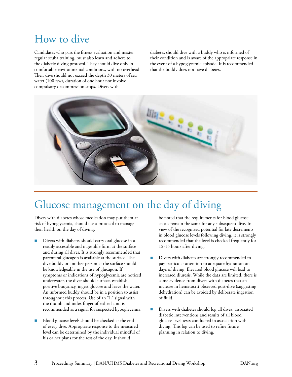### How to dive

Candidates who pass the fitness evaluation and master regular scuba training, must also learn and adhere to the diabetic diving protocol. They should dive only in comfortable environmental conditions, with no overhead. Their dive should not exceed the depth 30 meters of sea water (100 fsw), duration of one hour nor involve compulsory decompression stops. Divers with

diabetes should dive with a buddy who is informed of their condition and is aware of the appropriate response in the event of a hypoglycemic episode. It is recommended that the buddy does not have diabetes.



### Glucose management on the day of diving

Divers with diabetes whose medication may put them at risk of hypoglycemia, should use a protocol to manage their health on the day of diving.

- Divers with diabetes should carry oral glucose in a readily accessible and ingestible form at the surface and during all dives. It is strongly recommended that parenteral glucagon is available at the surface. The dive buddy or another person at the surface should be knowledgeable in the use of glucagon. If symptoms or indications of hypoglycemia are noticed underwater, the diver should surface, establish positive buoyancy, ingest glucose and leave the water. An informed buddy should be in a position to assist throughout this process. Use of an "L" signal with the thumb and index finger of either hand is recommended as a signal for suspected hypoglycemia.
- Blood glucose levels should be checked at the end of every dive. Appropriate response to the measured level can be determined by the individual mindful of his or her plans for the rest of the day. It should

be noted that the requirements for blood glucose status remain the same for any subsequent dive. In view of the recognized potential for late decrements in blood glucose levels following diving, it is strongly recommended that the level is checked frequently for 12-15 hours after diving.

- Divers with diabetes are strongly recommended to pay particular attention to adequate hydration on days of diving. Elevated blood glucose will lead to increased diuresis. While the data are limited, there is some evidence from divers with diabetes that an increase in hematocrit observed post-dive (suggesting dehydration) can be avoided by deliberate ingestion of fluid.
- Divers with diabetes should log all dives, associated diabetic interventions and results of all blood glucose level tests conducted in association with diving. This log can be used to refine future planning in relation to diving.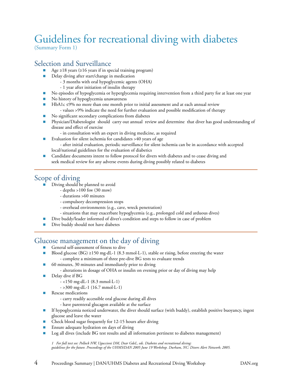## Guidelines for recreational diving with diabetes

(Summary Form 1)

#### Selection and Surveillance

- Age ≥18 years (≥16 years if in special training program)
- Delay diving after start/change in medication
	- 3 months with oral hypoglycemic agents (OHA)
	- 1 year after initiation of insulin therapy
- n No episodes of hypoglycemia or hyperglycemia requiring intervention from a third party for at least one year
- **n** No history of hypoglycemia unawareness
- HbA1c ≤9% no more than one month prior to initial assessment and at each annual review - values >9% indicate the need for further evaluation and possible modification of therapy
- n No significant secondary complications from diabetes
- n Physician/Diabetologist should carry out annual review and determine that diver has good understanding of disease and effect of exercise
- in consultation with an expert in diving medicine, as required
- Evaluation for silent ischemia for candidates >40 years of age - after initial evaluation, periodic surveillance for silent ischemia can be in accordance with accepted local/national guidelines for the evaluation of diabetics
- **n** Candidate documents intent to follow protocol for divers with diabetes and to cease diving and seek medical review for any adverse events during diving possibly related to diabetes

#### Scope of diving

- **n** Diving should be planned to avoid
	- depths >100 fsw (30 msw)
	- durations >60 minutes
	- compulsory decompression stops
	- overhead environments (e.g., cave, wreck penetration)
	- situations that may exacerbate hypoglycemia (e.g., prolonged cold and arduous dives)
	- n Dive buddy/leader informed of diver's condition and steps to follow in case of problem
- Dive buddy should not have diabetes

#### Glucose management on the day of diving

- General self-assessment of fitness to dive
- Blood glucose (BG) ≥150 mg·dL-1 (8.3 mmol·L-1), stable or rising, before entering the water - complete a minimum of three pre-dive BG tests to evaluate trends
- 60 minutes, 30 minutes and immediately prior to diving
	- alterations in dosage of OHA or insulin on evening prior or day of diving may help
- $\blacksquare$  Delay dive if BG
	- <150 mg·dL-1 (8.3 mmol·L-1)
		- >300 mg·dL-1 (16.7 mmol·L-1)
- Rescue medications
	- carry readily accessible oral glucose during all dives
	- have parenteral glucagon available at the surface
- n If hypoglycemia noticed underwater, the diver should surface (with buddy), establish positive buoyancy, ingest glucose and leave the water
- Check blood sugar frequently for 12-15 hours after diving
- Ensure adequate hydration on days of diving
- Log all dives (include BG test results and all information pertinent to diabetes management)

 *1 For full text see: Pollock NW, Uguccioni DM, Dear GdeL, eds. Diabetes and recreational diving: guidelines for the future. Proceedings of the UHMS/DAN 2005 June 19 Workshop. Durham, NC: Divers Alert Network; 2005.*